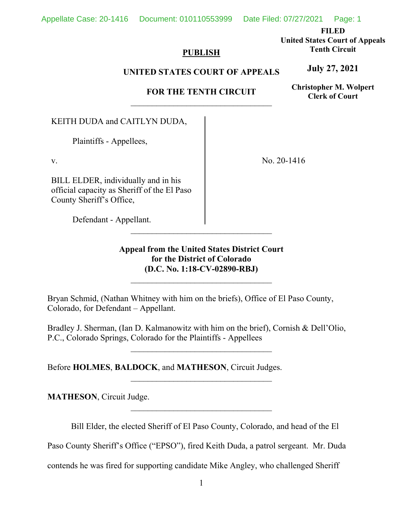Appellate Case: 20-1416 Document: 010110553999 Date Filed: 07/27/2021 Page: 1

**FILED** 

**United States Court of Appeals Tenth Circuit** 

**July 27, 2021**

# **UNITED STATES COURT OF APPEALS**

**PUBLISH** 

**FOR THE TENTH CIRCUIT** 

**Christopher M. Wolpert Clerk of Court**

KEITH DUDA and CAITLYN DUDA,

Plaintiffs - Appellees,

v.

BILL ELDER, individually and in his official capacity as Sheriff of the El Paso County Sheriff's Office,

No. 20-1416

Defendant - Appellant.

**Appeal from the United States District Court for the District of Colorado (D.C. No. 1:18-CV-02890-RBJ)**

Bryan Schmid, (Nathan Whitney with him on the briefs), Office of El Paso County, Colorado, for Defendant – Appellant.

Bradley J. Sherman, (Ian D. Kalmanowitz with him on the brief), Cornish & Dell'Olio, P.C., Colorado Springs, Colorado for the Plaintiffs - Appellees

Before **HOLMES**, **BALDOCK**, and **MATHESON**, Circuit Judges.

**MATHESON**, Circuit Judge.

Bill Elder, the elected Sheriff of El Paso County, Colorado, and head of the El

Paso County Sheriff's Office ("EPSO"), fired Keith Duda, a patrol sergeant. Mr. Duda

contends he was fired for supporting candidate Mike Angley, who challenged Sheriff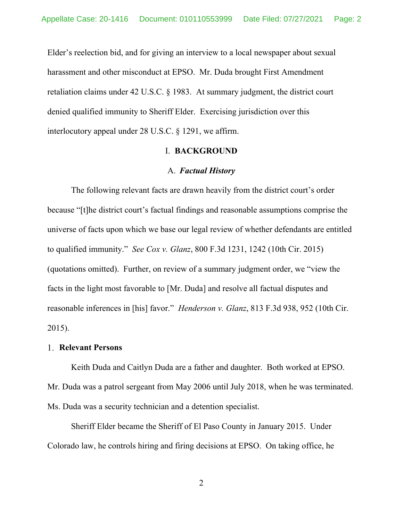Elder's reelection bid, and for giving an interview to a local newspaper about sexual harassment and other misconduct at EPSO. Mr. Duda brought First Amendment retaliation claims under 42 U.S.C. § 1983. At summary judgment, the district court denied qualified immunity to Sheriff Elder. Exercising jurisdiction over this interlocutory appeal under 28 U.S.C. § 1291, we affirm.

# I. **BACKGROUND**

## A. *Factual History*

The following relevant facts are drawn heavily from the district court's order because "[t]he district court's factual findings and reasonable assumptions comprise the universe of facts upon which we base our legal review of whether defendants are entitled to qualified immunity." *See Cox v. Glanz*, 800 F.3d 1231, 1242 (10th Cir. 2015) (quotations omitted). Further, on review of a summary judgment order, we "view the facts in the light most favorable to [Mr. Duda] and resolve all factual disputes and reasonable inferences in [his] favor." *Henderson v. Glanz*, 813 F.3d 938, 952 (10th Cir. 2015).

#### **Relevant Persons**

Keith Duda and Caitlyn Duda are a father and daughter. Both worked at EPSO. Mr. Duda was a patrol sergeant from May 2006 until July 2018, when he was terminated. Ms. Duda was a security technician and a detention specialist.

Sheriff Elder became the Sheriff of El Paso County in January 2015. Under Colorado law, he controls hiring and firing decisions at EPSO. On taking office, he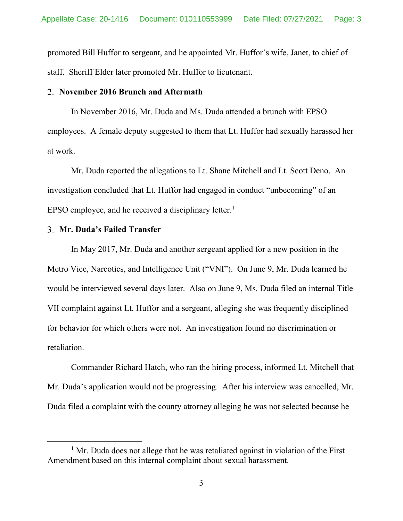promoted Bill Huffor to sergeant, and he appointed Mr. Huffor's wife, Janet, to chief of staff. Sheriff Elder later promoted Mr. Huffor to lieutenant.

# **November 2016 Brunch and Aftermath**

In November 2016, Mr. Duda and Ms. Duda attended a brunch with EPSO employees. A female deputy suggested to them that Lt. Huffor had sexually harassed her at work.

Mr. Duda reported the allegations to Lt. Shane Mitchell and Lt. Scott Deno. An investigation concluded that Lt. Huffor had engaged in conduct "unbecoming" of an EPSO employee, and he received a disciplinary letter.<sup>1</sup>

## **Mr. Duda's Failed Transfer**

In May 2017, Mr. Duda and another sergeant applied for a new position in the Metro Vice, Narcotics, and Intelligence Unit ("VNI"). On June 9, Mr. Duda learned he would be interviewed several days later. Also on June 9, Ms. Duda filed an internal Title VII complaint against Lt. Huffor and a sergeant, alleging she was frequently disciplined for behavior for which others were not. An investigation found no discrimination or retaliation.

Commander Richard Hatch, who ran the hiring process, informed Lt. Mitchell that Mr. Duda's application would not be progressing. After his interview was cancelled, Mr. Duda filed a complaint with the county attorney alleging he was not selected because he

<sup>&</sup>lt;sup>1</sup> Mr. Duda does not allege that he was retaliated against in violation of the First Amendment based on this internal complaint about sexual harassment.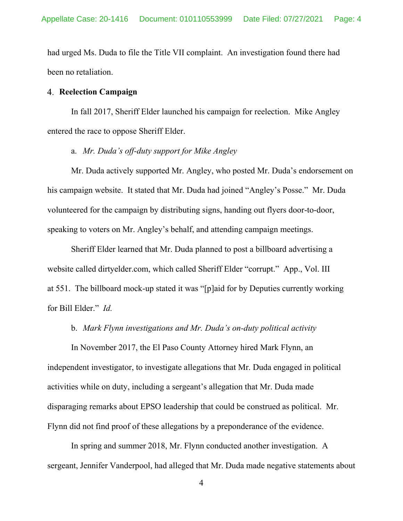had urged Ms. Duda to file the Title VII complaint. An investigation found there had been no retaliation.

# **Reelection Campaign**

In fall 2017, Sheriff Elder launched his campaign for reelection. Mike Angley entered the race to oppose Sheriff Elder.

#### a. *Mr. Duda's off-duty support for Mike Angley*

Mr. Duda actively supported Mr. Angley, who posted Mr. Duda's endorsement on his campaign website. It stated that Mr. Duda had joined "Angley's Posse." Mr. Duda volunteered for the campaign by distributing signs, handing out flyers door-to-door, speaking to voters on Mr. Angley's behalf, and attending campaign meetings.

Sheriff Elder learned that Mr. Duda planned to post a billboard advertising a website called dirtyelder.com, which called Sheriff Elder "corrupt." App., Vol. III at 551. The billboard mock-up stated it was "[p]aid for by Deputies currently working for Bill Elder." *Id.*

#### b. *Mark Flynn investigations and Mr. Duda's on-duty political activity*

In November 2017, the El Paso County Attorney hired Mark Flynn, an independent investigator, to investigate allegations that Mr. Duda engaged in political activities while on duty, including a sergeant's allegation that Mr. Duda made disparaging remarks about EPSO leadership that could be construed as political. Mr. Flynn did not find proof of these allegations by a preponderance of the evidence.

In spring and summer 2018, Mr. Flynn conducted another investigation. A sergeant, Jennifer Vanderpool, had alleged that Mr. Duda made negative statements about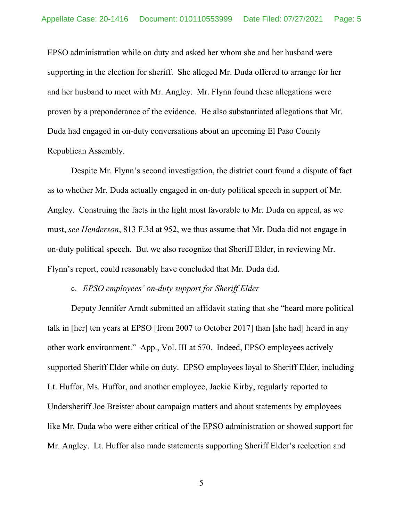EPSO administration while on duty and asked her whom she and her husband were supporting in the election for sheriff. She alleged Mr. Duda offered to arrange for her and her husband to meet with Mr. Angley. Mr. Flynn found these allegations were proven by a preponderance of the evidence. He also substantiated allegations that Mr. Duda had engaged in on-duty conversations about an upcoming El Paso County Republican Assembly.

Despite Mr. Flynn's second investigation, the district court found a dispute of fact as to whether Mr. Duda actually engaged in on-duty political speech in support of Mr. Angley. Construing the facts in the light most favorable to Mr. Duda on appeal, as we must, *see Henderson*, 813 F.3d at 952, we thus assume that Mr. Duda did not engage in on-duty political speech. But we also recognize that Sheriff Elder, in reviewing Mr. Flynn's report, could reasonably have concluded that Mr. Duda did.

#### c. *EPSO employees' on-duty support for Sheriff Elder*

Deputy Jennifer Arndt submitted an affidavit stating that she "heard more political talk in [her] ten years at EPSO [from 2007 to October 2017] than [she had] heard in any other work environment." App., Vol. III at 570. Indeed, EPSO employees actively supported Sheriff Elder while on duty. EPSO employees loyal to Sheriff Elder, including Lt. Huffor, Ms. Huffor, and another employee, Jackie Kirby, regularly reported to Undersheriff Joe Breister about campaign matters and about statements by employees like Mr. Duda who were either critical of the EPSO administration or showed support for Mr. Angley. Lt. Huffor also made statements supporting Sheriff Elder's reelection and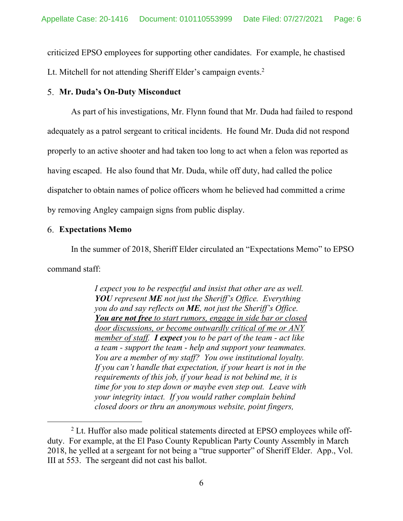criticized EPSO employees for supporting other candidates. For example, he chastised Lt. Mitchell for not attending Sheriff Elder's campaign events.<sup>2</sup>

# **Mr. Duda's On-Duty Misconduct**

As part of his investigations, Mr. Flynn found that Mr. Duda had failed to respond adequately as a patrol sergeant to critical incidents. He found Mr. Duda did not respond properly to an active shooter and had taken too long to act when a felon was reported as having escaped. He also found that Mr. Duda, while off duty, had called the police dispatcher to obtain names of police officers whom he believed had committed a crime by removing Angley campaign signs from public display.

# **Expectations Memo**

In the summer of 2018, Sheriff Elder circulated an "Expectations Memo" to EPSO command staff:

> *I expect you to be respectful and insist that other are as well. YOU represent ME not just the Sheriff's Office. Everything you do and say reflects on ME, not just the Sheriff's Office. You are not free to start rumors, engage in side bar or closed door discussions, or become outwardly critical of me or ANY member of staff. I expect you to be part of the team - act like a team - support the team - help and support your teammates. You are a member of my staff? You owe institutional loyalty. If you can't handle that expectation, if your heart is not in the requirements of this job, if your head is not behind me, it is time for you to step down or maybe even step out. Leave with your integrity intact. If you would rather complain behind closed doors or thru an anonymous website, point fingers,*

<sup>&</sup>lt;sup>2</sup> Lt. Huffor also made political statements directed at EPSO employees while offduty. For example, at the El Paso County Republican Party County Assembly in March 2018, he yelled at a sergeant for not being a "true supporter" of Sheriff Elder. App., Vol. III at 553. The sergeant did not cast his ballot.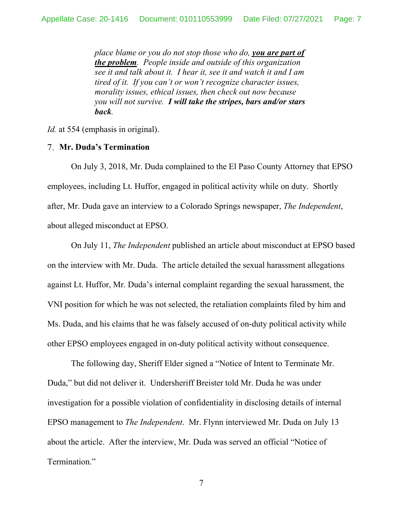*place blame or you do not stop those who do, you are part of the problem. People inside and outside of this organization see it and talk about it. I hear it, see it and watch it and I am tired of it. If you can't or won't recognize character issues, morality issues, ethical issues, then check out now because you will not survive. I will take the stripes, bars and/or stars back.* 

*Id.* at 554 (emphasis in original).

#### **Mr. Duda's Termination**

On July 3, 2018, Mr. Duda complained to the El Paso County Attorney that EPSO employees, including Lt. Huffor, engaged in political activity while on duty. Shortly after, Mr. Duda gave an interview to a Colorado Springs newspaper, *The Independent*, about alleged misconduct at EPSO.

On July 11, *The Independent* published an article about misconduct at EPSO based on the interview with Mr. Duda. The article detailed the sexual harassment allegations against Lt. Huffor, Mr. Duda's internal complaint regarding the sexual harassment, the VNI position for which he was not selected, the retaliation complaints filed by him and Ms. Duda, and his claims that he was falsely accused of on-duty political activity while other EPSO employees engaged in on-duty political activity without consequence.

The following day, Sheriff Elder signed a "Notice of Intent to Terminate Mr. Duda," but did not deliver it. Undersheriff Breister told Mr. Duda he was under investigation for a possible violation of confidentiality in disclosing details of internal EPSO management to *The Independent*. Mr. Flynn interviewed Mr. Duda on July 13 about the article. After the interview, Mr. Duda was served an official "Notice of Termination."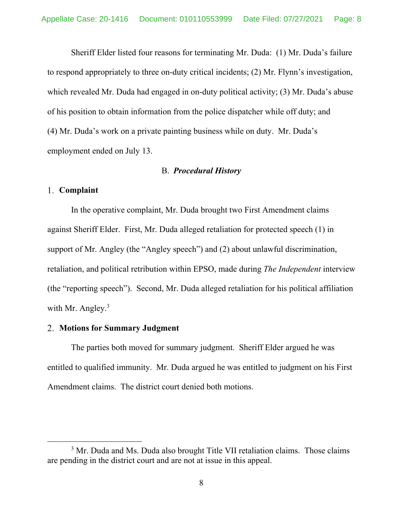Sheriff Elder listed four reasons for terminating Mr. Duda: (1) Mr. Duda's failure to respond appropriately to three on-duty critical incidents; (2) Mr. Flynn's investigation, which revealed Mr. Duda had engaged in on-duty political activity; (3) Mr. Duda's abuse of his position to obtain information from the police dispatcher while off duty; and (4) Mr. Duda's work on a private painting business while on duty. Mr. Duda's employment ended on July 13.

#### B. *Procedural History*

#### **Complaint**

In the operative complaint, Mr. Duda brought two First Amendment claims against Sheriff Elder. First, Mr. Duda alleged retaliation for protected speech (1) in support of Mr. Angley (the "Angley speech") and (2) about unlawful discrimination, retaliation, and political retribution within EPSO, made during *The Independent* interview (the "reporting speech"). Second, Mr. Duda alleged retaliation for his political affiliation with Mr. Angley.<sup>3</sup>

#### **Motions for Summary Judgment**

The parties both moved for summary judgment. Sheriff Elder argued he was entitled to qualified immunity. Mr. Duda argued he was entitled to judgment on his First Amendment claims. The district court denied both motions.

<sup>&</sup>lt;sup>3</sup> Mr. Duda and Ms. Duda also brought Title VII retaliation claims. Those claims are pending in the district court and are not at issue in this appeal.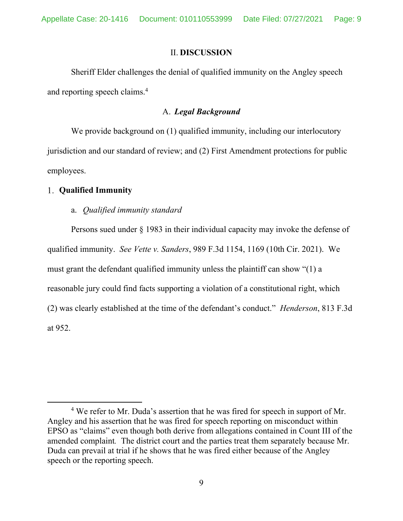#### II. **DISCUSSION**

Sheriff Elder challenges the denial of qualified immunity on the Angley speech and reporting speech claims.<sup>4</sup>

## A. *Legal Background*

We provide background on (1) qualified immunity, including our interlocutory jurisdiction and our standard of review; and (2) First Amendment protections for public employees.

## **Qualified Immunity**

## a. *Qualified immunity standard*

Persons sued under § 1983 in their individual capacity may invoke the defense of qualified immunity. *See Vette v. Sanders*, 989 F.3d 1154, 1169 (10th Cir. 2021). We must grant the defendant qualified immunity unless the plaintiff can show "(1) a reasonable jury could find facts supporting a violation of a constitutional right, which (2) was clearly established at the time of the defendant's conduct." *Henderson*, 813 F.3d at 952.

<sup>&</sup>lt;sup>4</sup> We refer to Mr. Duda's assertion that he was fired for speech in support of Mr. Angley and his assertion that he was fired for speech reporting on misconduct within EPSO as "claims" even though both derive from allegations contained in Count III of the amended complaint*.* The district court and the parties treat them separately because Mr. Duda can prevail at trial if he shows that he was fired either because of the Angley speech or the reporting speech.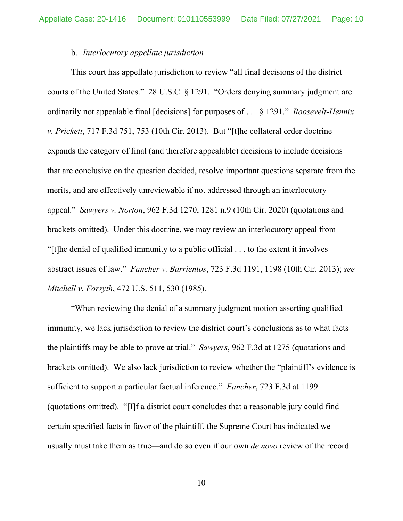## b. *Interlocutory appellate jurisdiction*

This court has appellate jurisdiction to review "all final decisions of the district courts of the United States." 28 U.S.C. § 1291. "Orders denying summary judgment are ordinarily not appealable final [decisions] for purposes of . . . § 1291." *Roosevelt-Hennix v. Prickett*, 717 F.3d 751, 753 (10th Cir. 2013). But "[t]he collateral order doctrine expands the category of final (and therefore appealable) decisions to include decisions that are conclusive on the question decided, resolve important questions separate from the merits, and are effectively unreviewable if not addressed through an interlocutory appeal." *Sawyers v. Norton*, 962 F.3d 1270, 1281 n.9 (10th Cir. 2020) (quotations and brackets omitted). Under this doctrine, we may review an interlocutory appeal from "[t]he denial of qualified immunity to a public official . . . to the extent it involves abstract issues of law." *Fancher v. Barrientos*, 723 F.3d 1191, 1198 (10th Cir. 2013); *see Mitchell v. Forsyth*, 472 U.S. 511, 530 (1985).

"When reviewing the denial of a summary judgment motion asserting qualified immunity, we lack jurisdiction to review the district court's conclusions as to what facts the plaintiffs may be able to prove at trial." *Sawyers*, 962 F.3d at 1275 (quotations and brackets omitted). We also lack jurisdiction to review whether the "plaintiff's evidence is sufficient to support a particular factual inference." *Fancher*, 723 F.3d at 1199 (quotations omitted). "[I]f a district court concludes that a reasonable jury could find certain specified facts in favor of the plaintiff, the Supreme Court has indicated we usually must take them as true—and do so even if our own *de novo* review of the record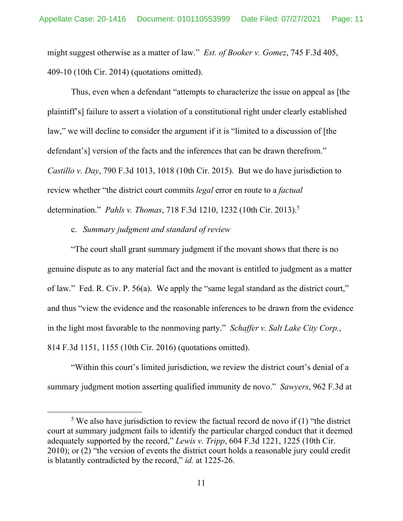might suggest otherwise as a matter of law." *Est. of Booker v. Gomez*, 745 F.3d 405, 409-10 (10th Cir. 2014) (quotations omitted).

Thus, even when a defendant "attempts to characterize the issue on appeal as [the plaintiff's] failure to assert a violation of a constitutional right under clearly established law," we will decline to consider the argument if it is "limited to a discussion of [the defendant's] version of the facts and the inferences that can be drawn therefrom." *Castillo v. Day*, 790 F.3d 1013, 1018 (10th Cir. 2015). But we do have jurisdiction to review whether "the district court commits *legal* error en route to a *factual* determination." *Pahls v. Thomas*, 718 F.3d 1210, 1232 (10th Cir. 2013).5

c. *Summary judgment and standard of review* 

"The court shall grant summary judgment if the movant shows that there is no genuine dispute as to any material fact and the movant is entitled to judgment as a matter of law." Fed. R. Civ. P. 56(a). We apply the "same legal standard as the district court," and thus "view the evidence and the reasonable inferences to be drawn from the evidence in the light most favorable to the nonmoving party." *Schaffer v. Salt Lake City Corp.*, 814 F.3d 1151, 1155 (10th Cir. 2016) (quotations omitted).

"Within this court's limited jurisdiction, we review the district court's denial of a summary judgment motion asserting qualified immunity de novo." *Sawyers*, 962 F.3d at

<sup>&</sup>lt;sup>5</sup> We also have jurisdiction to review the factual record de novo if  $(1)$  "the district" court at summary judgment fails to identify the particular charged conduct that it deemed adequately supported by the record," *Lewis v. Tripp*, 604 F.3d 1221, 1225 (10th Cir. 2010); or (2) "the version of events the district court holds a reasonable jury could credit is blatantly contradicted by the record," *id.* at 1225-26.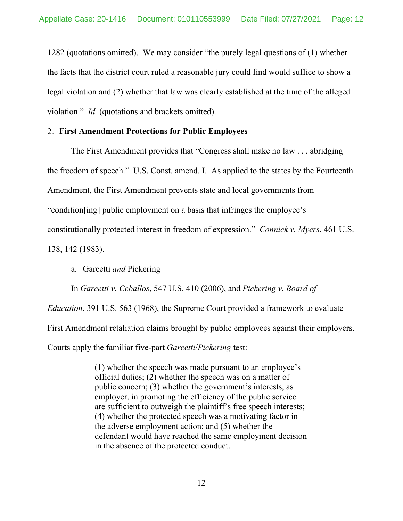1282 (quotations omitted). We may consider "the purely legal questions of (1) whether the facts that the district court ruled a reasonable jury could find would suffice to show a legal violation and (2) whether that law was clearly established at the time of the alleged violation." *Id.* (quotations and brackets omitted).

#### **First Amendment Protections for Public Employees**

The First Amendment provides that "Congress shall make no law . . . abridging the freedom of speech." U.S. Const. amend. I. As applied to the states by the Fourteenth Amendment, the First Amendment prevents state and local governments from "condition[ing] public employment on a basis that infringes the employee's constitutionally protected interest in freedom of expression." *Connick v. Myers*, 461 U.S. 138, 142 (1983).

a. Garcetti *and* Pickering

In *Garcetti v. Ceballos*, 547 U.S. 410 (2006), and *Pickering v. Board of* 

*Education*, 391 U.S. 563 (1968), the Supreme Court provided a framework to evaluate First Amendment retaliation claims brought by public employees against their employers. Courts apply the familiar five-part *Garcetti*/*Pickering* test:

> (1) whether the speech was made pursuant to an employee's official duties; (2) whether the speech was on a matter of public concern; (3) whether the government's interests, as employer, in promoting the efficiency of the public service are sufficient to outweigh the plaintiff's free speech interests; (4) whether the protected speech was a motivating factor in the adverse employment action; and (5) whether the defendant would have reached the same employment decision in the absence of the protected conduct.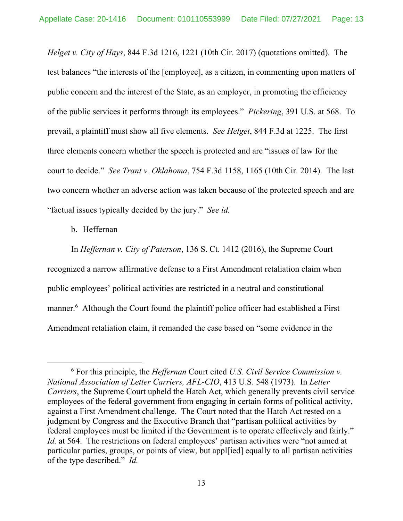*Helget v. City of Hays*, 844 F.3d 1216, 1221 (10th Cir. 2017) (quotations omitted). The test balances "the interests of the [employee], as a citizen, in commenting upon matters of public concern and the interest of the State, as an employer, in promoting the efficiency of the public services it performs through its employees." *Pickering*, 391 U.S. at 568. To prevail, a plaintiff must show all five elements. *See Helget*, 844 F.3d at 1225. The first three elements concern whether the speech is protected and are "issues of law for the court to decide." *See Trant v. Oklahoma*, 754 F.3d 1158, 1165 (10th Cir. 2014). The last two concern whether an adverse action was taken because of the protected speech and are "factual issues typically decided by the jury." *See id.*

b. Heffernan

In *Heffernan v. City of Paterson*, 136 S. Ct. 1412 (2016), the Supreme Court recognized a narrow affirmative defense to a First Amendment retaliation claim when public employees' political activities are restricted in a neutral and constitutional manner.<sup>6</sup> Although the Court found the plaintiff police officer had established a First Amendment retaliation claim, it remanded the case based on "some evidence in the

<sup>6</sup> For this principle, the *Heffernan* Court cited *U.S. Civil Service Commission v. National Association of Letter Carriers, AFL-CIO*, 413 U.S. 548 (1973). In *Letter Carriers*, the Supreme Court upheld the Hatch Act, which generally prevents civil service employees of the federal government from engaging in certain forms of political activity, against a First Amendment challenge. The Court noted that the Hatch Act rested on a judgment by Congress and the Executive Branch that "partisan political activities by federal employees must be limited if the Government is to operate effectively and fairly." *Id.* at 564. The restrictions on federal employees' partisan activities were "not aimed at particular parties, groups, or points of view, but appl[ied] equally to all partisan activities of the type described." *Id.*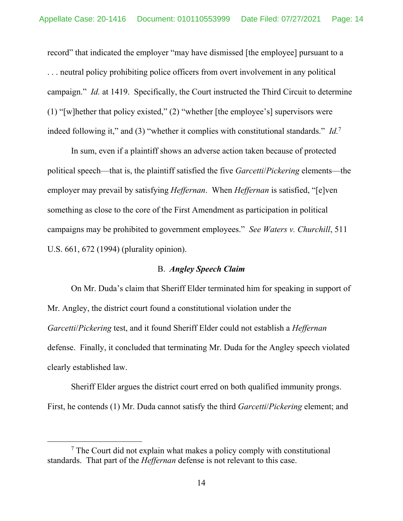record" that indicated the employer "may have dismissed [the employee] pursuant to a . . . neutral policy prohibiting police officers from overt involvement in any political campaign." *Id.* at 1419. Specifically, the Court instructed the Third Circuit to determine (1) "[w]hether that policy existed," (2) "whether [the employee's] supervisors were indeed following it," and (3) "whether it complies with constitutional standards." *Id.*<sup>7</sup>

In sum, even if a plaintiff shows an adverse action taken because of protected political speech—that is, the plaintiff satisfied the five *Garcetti*/*Pickering* elements—the employer may prevail by satisfying *Heffernan*. When *Heffernan* is satisfied, "[e]ven something as close to the core of the First Amendment as participation in political campaigns may be prohibited to government employees." *See Waters v. Churchill*, 511 U.S. 661, 672 (1994) (plurality opinion).

# B. *Angley Speech Claim*

On Mr. Duda's claim that Sheriff Elder terminated him for speaking in support of Mr. Angley, the district court found a constitutional violation under the *Garcetti*/*Pickering* test, and it found Sheriff Elder could not establish a *Heffernan* defense. Finally, it concluded that terminating Mr. Duda for the Angley speech violated clearly established law.

Sheriff Elder argues the district court erred on both qualified immunity prongs. First, he contends (1) Mr. Duda cannot satisfy the third *Garcetti*/*Pickering* element; and

<sup>&</sup>lt;sup>7</sup> The Court did not explain what makes a policy comply with constitutional standards. That part of the *Heffernan* defense is not relevant to this case.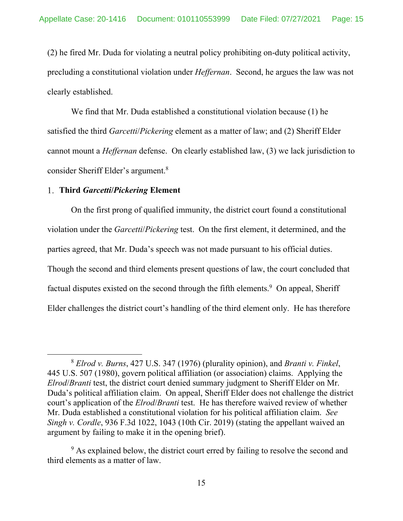(2) he fired Mr. Duda for violating a neutral policy prohibiting on-duty political activity, precluding a constitutional violation under *Heffernan*. Second, he argues the law was not clearly established.

We find that Mr. Duda established a constitutional violation because (1) he satisfied the third *Garcetti*/*Pickering* element as a matter of law; and (2) Sheriff Elder cannot mount a *Heffernan* defense. On clearly established law, (3) we lack jurisdiction to consider Sheriff Elder's argument.8

#### **Third** *Garcetti***/***Pickering* **Element**

On the first prong of qualified immunity, the district court found a constitutional violation under the *Garcetti*/*Pickering* test. On the first element, it determined, and the parties agreed, that Mr. Duda's speech was not made pursuant to his official duties. Though the second and third elements present questions of law, the court concluded that factual disputes existed on the second through the fifth elements.  $9$  On appeal, Sheriff Elder challenges the district court's handling of the third element only. He has therefore

<sup>8</sup> *Elrod v. Burns*, 427 U.S. 347 (1976) (plurality opinion), and *Branti v. Finkel*, 445 U.S. 507 (1980), govern political affiliation (or association) claims. Applying the *Elrod*/*Branti* test, the district court denied summary judgment to Sheriff Elder on Mr. Duda's political affiliation claim. On appeal, Sheriff Elder does not challenge the district court's application of the *Elrod*/*Branti* test. He has therefore waived review of whether Mr. Duda established a constitutional violation for his political affiliation claim. *See Singh v. Cordle*, 936 F.3d 1022, 1043 (10th Cir. 2019) (stating the appellant waived an argument by failing to make it in the opening brief).

<sup>&</sup>lt;sup>9</sup> As explained below, the district court erred by failing to resolve the second and third elements as a matter of law.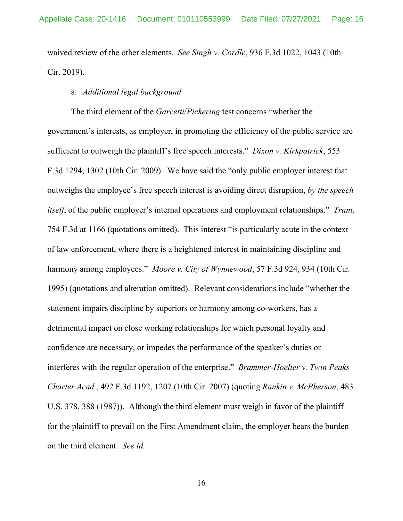waived review of the other elements. *See Singh v. Cordle*, 936 F.3d 1022, 1043 (10th Cir. 2019).

# a. *Additional legal background*

The third element of the *Garcetti*/*Pickering* test concerns "whether the government's interests, as employer, in promoting the efficiency of the public service are sufficient to outweigh the plaintiff's free speech interests." *Dixon v. Kirkpatrick*, 553 F.3d 1294, 1302 (10th Cir. 2009). We have said the "only public employer interest that outweighs the employee's free speech interest is avoiding direct disruption, *by the speech itself*, of the public employer's internal operations and employment relationships." *Trant*, 754 F.3d at 1166 (quotations omitted). This interest "is particularly acute in the context of law enforcement, where there is a heightened interest in maintaining discipline and harmony among employees." *Moore v. City of Wynnewood*, 57 F.3d 924, 934 (10th Cir. 1995) (quotations and alteration omitted). Relevant considerations include "whether the statement impairs discipline by superiors or harmony among co-workers, has a detrimental impact on close working relationships for which personal loyalty and confidence are necessary, or impedes the performance of the speaker's duties or interferes with the regular operation of the enterprise." *Brammer-Hoelter v. Twin Peaks Charter Acad.*, 492 F.3d 1192, 1207 (10th Cir. 2007) (quoting *Rankin v. McPherson*, 483 U.S. 378, 388 (1987)). Although the third element must weigh in favor of the plaintiff for the plaintiff to prevail on the First Amendment claim, the employer bears the burden on the third element. *See id.*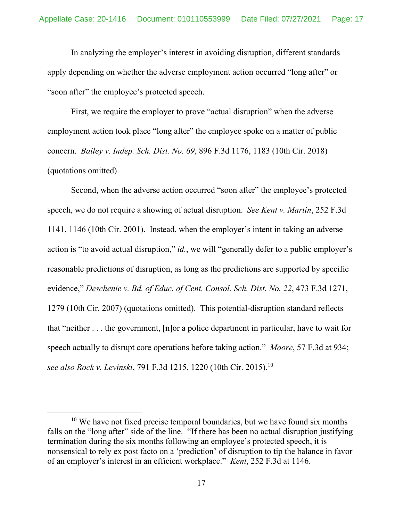In analyzing the employer's interest in avoiding disruption, different standards apply depending on whether the adverse employment action occurred "long after" or "soon after" the employee's protected speech.

First, we require the employer to prove "actual disruption" when the adverse employment action took place "long after" the employee spoke on a matter of public concern. *Bailey v. Indep. Sch. Dist. No. 69*, 896 F.3d 1176, 1183 (10th Cir. 2018) (quotations omitted).

Second, when the adverse action occurred "soon after" the employee's protected speech, we do not require a showing of actual disruption. *See Kent v. Martin*, 252 F.3d 1141, 1146 (10th Cir. 2001). Instead, when the employer's intent in taking an adverse action is "to avoid actual disruption," *id.*, we will "generally defer to a public employer's reasonable predictions of disruption, as long as the predictions are supported by specific evidence," *Deschenie v. Bd. of Educ. of Cent. Consol. Sch. Dist. No. 22*, 473 F.3d 1271, 1279 (10th Cir. 2007) (quotations omitted). This potential-disruption standard reflects that "neither . . . the government, [n]or a police department in particular, have to wait for speech actually to disrupt core operations before taking action." *Moore*, 57 F.3d at 934; *see also Rock v. Levinski*, 791 F.3d 1215, 1220 (10th Cir. 2015).10

<sup>&</sup>lt;sup>10</sup> We have not fixed precise temporal boundaries, but we have found six months falls on the "long after" side of the line. "If there has been no actual disruption justifying termination during the six months following an employee's protected speech, it is nonsensical to rely ex post facto on a 'prediction' of disruption to tip the balance in favor of an employer's interest in an efficient workplace." *Kent*, 252 F.3d at 1146.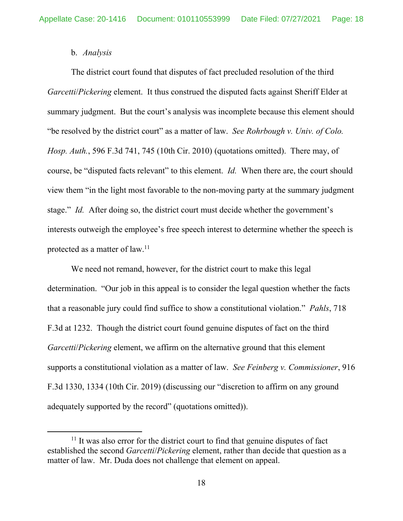#### b. *Analysis*

The district court found that disputes of fact precluded resolution of the third *Garcetti*/*Pickering* element. It thus construed the disputed facts against Sheriff Elder at summary judgment. But the court's analysis was incomplete because this element should "be resolved by the district court" as a matter of law. *See Rohrbough v. Univ. of Colo. Hosp. Auth.*, 596 F.3d 741, 745 (10th Cir. 2010) (quotations omitted). There may, of course, be "disputed facts relevant" to this element. *Id.* When there are, the court should view them "in the light most favorable to the non-moving party at the summary judgment stage." *Id.* After doing so, the district court must decide whether the government's interests outweigh the employee's free speech interest to determine whether the speech is protected as a matter of law.<sup>11</sup>

We need not remand, however, for the district court to make this legal determination. "Our job in this appeal is to consider the legal question whether the facts that a reasonable jury could find suffice to show a constitutional violation." *Pahls*, 718 F.3d at 1232. Though the district court found genuine disputes of fact on the third *Garcetti*/*Pickering* element, we affirm on the alternative ground that this element supports a constitutional violation as a matter of law. *See Feinberg v. Commissioner*, 916 F.3d 1330, 1334 (10th Cir. 2019) (discussing our "discretion to affirm on any ground adequately supported by the record" (quotations omitted)).

<sup>&</sup>lt;sup>11</sup> It was also error for the district court to find that genuine disputes of fact established the second *Garcetti*/*Pickering* element, rather than decide that question as a matter of law. Mr. Duda does not challenge that element on appeal.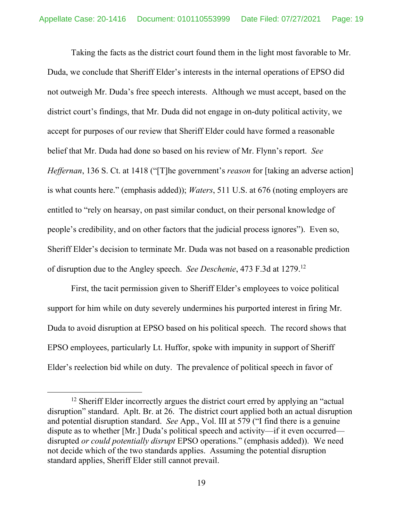Taking the facts as the district court found them in the light most favorable to Mr. Duda, we conclude that Sheriff Elder's interests in the internal operations of EPSO did not outweigh Mr. Duda's free speech interests. Although we must accept, based on the district court's findings, that Mr. Duda did not engage in on-duty political activity, we accept for purposes of our review that Sheriff Elder could have formed a reasonable belief that Mr. Duda had done so based on his review of Mr. Flynn's report. *See Heffernan*, 136 S. Ct. at 1418 ("[T]he government's *reason* for [taking an adverse action] is what counts here." (emphasis added)); *Waters*, 511 U.S. at 676 (noting employers are entitled to "rely on hearsay, on past similar conduct, on their personal knowledge of people's credibility, and on other factors that the judicial process ignores"). Even so, Sheriff Elder's decision to terminate Mr. Duda was not based on a reasonable prediction of disruption due to the Angley speech. *See Deschenie*, 473 F.3d at 1279.12

First, the tacit permission given to Sheriff Elder's employees to voice political support for him while on duty severely undermines his purported interest in firing Mr. Duda to avoid disruption at EPSO based on his political speech. The record shows that EPSO employees, particularly Lt. Huffor, spoke with impunity in support of Sheriff Elder's reelection bid while on duty. The prevalence of political speech in favor of

<sup>&</sup>lt;sup>12</sup> Sheriff Elder incorrectly argues the district court erred by applying an "actual" disruption" standard. Aplt. Br. at 26. The district court applied both an actual disruption and potential disruption standard. *See* App., Vol. III at 579 ("I find there is a genuine dispute as to whether [Mr.] Duda's political speech and activity—if it even occurred disrupted *or could potentially disrupt* EPSO operations." (emphasis added)). We need not decide which of the two standards applies. Assuming the potential disruption standard applies, Sheriff Elder still cannot prevail.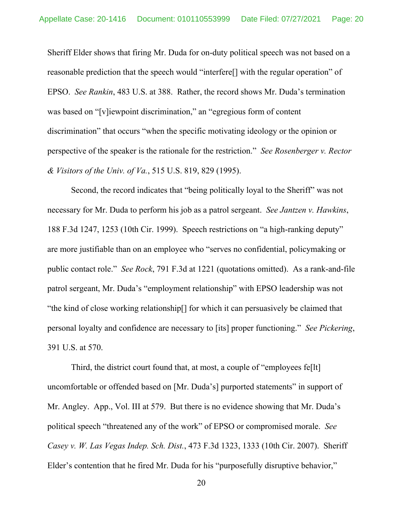Sheriff Elder shows that firing Mr. Duda for on-duty political speech was not based on a reasonable prediction that the speech would "interfere[] with the regular operation" of EPSO. *See Rankin*, 483 U.S. at 388. Rather, the record shows Mr. Duda's termination was based on "[v]iewpoint discrimination," an "egregious form of content discrimination" that occurs "when the specific motivating ideology or the opinion or perspective of the speaker is the rationale for the restriction." *See Rosenberger v. Rector & Visitors of the Univ. of Va.*, 515 U.S. 819, 829 (1995).

Second, the record indicates that "being politically loyal to the Sheriff" was not necessary for Mr. Duda to perform his job as a patrol sergeant. *See Jantzen v. Hawkins*, 188 F.3d 1247, 1253 (10th Cir. 1999). Speech restrictions on "a high-ranking deputy" are more justifiable than on an employee who "serves no confidential, policymaking or public contact role." *See Rock*, 791 F.3d at 1221 (quotations omitted). As a rank-and-file patrol sergeant, Mr. Duda's "employment relationship" with EPSO leadership was not "the kind of close working relationship[] for which it can persuasively be claimed that personal loyalty and confidence are necessary to [its] proper functioning." *See Pickering*, 391 U.S. at 570.

Third, the district court found that, at most, a couple of "employees fe[lt] uncomfortable or offended based on [Mr. Duda's] purported statements" in support of Mr. Angley. App., Vol. III at 579. But there is no evidence showing that Mr. Duda's political speech "threatened any of the work" of EPSO or compromised morale. *See Casey v. W. Las Vegas Indep. Sch. Dist.*, 473 F.3d 1323, 1333 (10th Cir. 2007). Sheriff Elder's contention that he fired Mr. Duda for his "purposefully disruptive behavior,"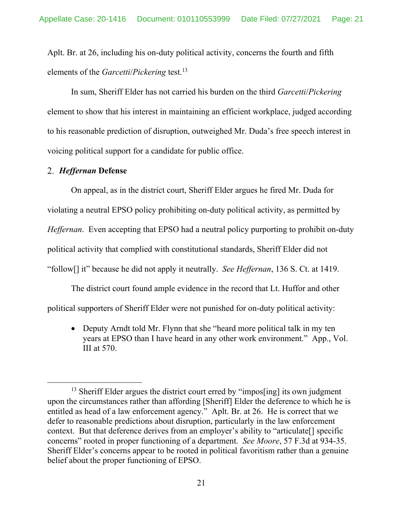Aplt. Br. at 26, including his on-duty political activity, concerns the fourth and fifth elements of the *Garcetti*/*Pickering* test.13

In sum, Sheriff Elder has not carried his burden on the third *Garcetti*/*Pickering*  element to show that his interest in maintaining an efficient workplace, judged according to his reasonable prediction of disruption, outweighed Mr. Duda's free speech interest in voicing political support for a candidate for public office.

# *Heffernan* **Defense**

On appeal, as in the district court, Sheriff Elder argues he fired Mr. Duda for violating a neutral EPSO policy prohibiting on-duty political activity, as permitted by *Heffernan*. Even accepting that EPSO had a neutral policy purporting to prohibit on-duty political activity that complied with constitutional standards, Sheriff Elder did not "follow[] it" because he did not apply it neutrally. *See Heffernan*, 136 S. Ct. at 1419.

The district court found ample evidence in the record that Lt. Huffor and other political supporters of Sheriff Elder were not punished for on-duty political activity:

• Deputy Arndt told Mr. Flynn that she "heard more political talk in my ten years at EPSO than I have heard in any other work environment." App., Vol. III at 570.

 $13$  Sheriff Elder argues the district court erred by "impos[ing] its own judgment upon the circumstances rather than affording [Sheriff] Elder the deference to which he is entitled as head of a law enforcement agency." Aplt. Br. at 26. He is correct that we defer to reasonable predictions about disruption, particularly in the law enforcement context. But that deference derives from an employer's ability to "articulate[] specific concerns" rooted in proper functioning of a department. *See Moore*, 57 F.3d at 934-35. Sheriff Elder's concerns appear to be rooted in political favoritism rather than a genuine belief about the proper functioning of EPSO.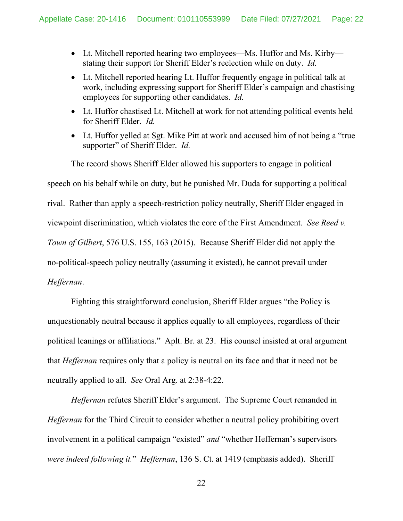- Lt. Mitchell reported hearing two employees—Ms. Huffor and Ms. Kirby stating their support for Sheriff Elder's reelection while on duty. *Id.*
- Lt. Mitchell reported hearing Lt. Huffor frequently engage in political talk at work, including expressing support for Sheriff Elder's campaign and chastising employees for supporting other candidates. *Id.*
- Lt. Huffor chastised Lt. Mitchell at work for not attending political events held for Sheriff Elder. *Id.*
- Lt. Huffor yelled at Sgt. Mike Pitt at work and accused him of not being a "true supporter" of Sheriff Elder. *Id.*

The record shows Sheriff Elder allowed his supporters to engage in political speech on his behalf while on duty, but he punished Mr. Duda for supporting a political rival. Rather than apply a speech-restriction policy neutrally, Sheriff Elder engaged in viewpoint discrimination, which violates the core of the First Amendment. *See Reed v. Town of Gilbert*, 576 U.S. 155, 163 (2015). Because Sheriff Elder did not apply the no-political-speech policy neutrally (assuming it existed), he cannot prevail under *Heffernan*.

Fighting this straightforward conclusion, Sheriff Elder argues "the Policy is unquestionably neutral because it applies equally to all employees, regardless of their political leanings or affiliations." Aplt. Br. at 23. His counsel insisted at oral argument that *Heffernan* requires only that a policy is neutral on its face and that it need not be neutrally applied to all. *See* Oral Arg. at 2:38-4:22.

*Heffernan* refutes Sheriff Elder's argument. The Supreme Court remanded in *Heffernan* for the Third Circuit to consider whether a neutral policy prohibiting overt involvement in a political campaign "existed" *and* "whether Heffernan's supervisors *were indeed following it.*" *Heffernan*, 136 S. Ct. at 1419 (emphasis added). Sheriff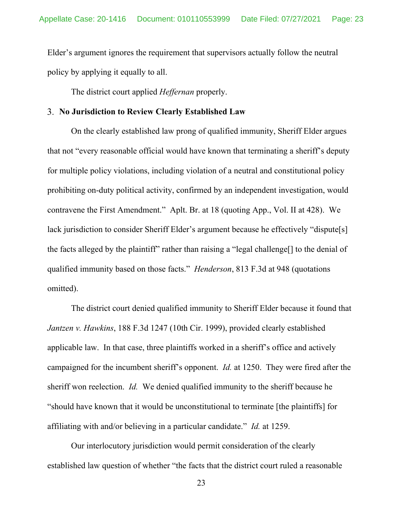Elder's argument ignores the requirement that supervisors actually follow the neutral policy by applying it equally to all.

The district court applied *Heffernan* properly.

#### **No Jurisdiction to Review Clearly Established Law**

On the clearly established law prong of qualified immunity, Sheriff Elder argues that not "every reasonable official would have known that terminating a sheriff's deputy for multiple policy violations, including violation of a neutral and constitutional policy prohibiting on-duty political activity, confirmed by an independent investigation, would contravene the First Amendment." Aplt. Br. at 18 (quoting App., Vol. II at 428). We lack jurisdiction to consider Sheriff Elder's argument because he effectively "dispute[s] the facts alleged by the plaintiff" rather than raising a "legal challenge[] to the denial of qualified immunity based on those facts." *Henderson*, 813 F.3d at 948 (quotations omitted).

The district court denied qualified immunity to Sheriff Elder because it found that *Jantzen v. Hawkins*, 188 F.3d 1247 (10th Cir. 1999), provided clearly established applicable law. In that case, three plaintiffs worked in a sheriff's office and actively campaigned for the incumbent sheriff's opponent. *Id.* at 1250. They were fired after the sheriff won reelection. *Id.* We denied qualified immunity to the sheriff because he "should have known that it would be unconstitutional to terminate [the plaintiffs] for affiliating with and/or believing in a particular candidate." *Id.* at 1259.

Our interlocutory jurisdiction would permit consideration of the clearly established law question of whether "the facts that the district court ruled a reasonable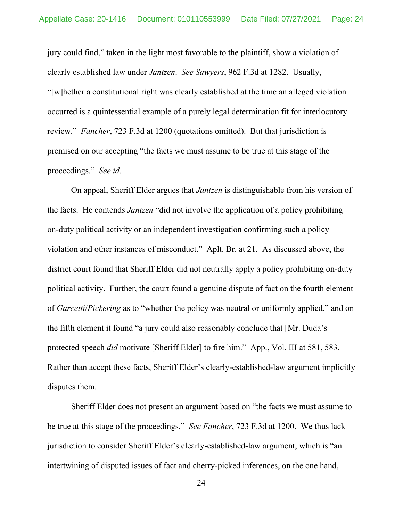jury could find," taken in the light most favorable to the plaintiff, show a violation of clearly established law under *Jantzen*. *See Sawyers*, 962 F.3d at 1282. Usually, "[w]hether a constitutional right was clearly established at the time an alleged violation occurred is a quintessential example of a purely legal determination fit for interlocutory review." *Fancher*, 723 F.3d at 1200 (quotations omitted). But that jurisdiction is premised on our accepting "the facts we must assume to be true at this stage of the proceedings." *See id.*

On appeal, Sheriff Elder argues that *Jantzen* is distinguishable from his version of the facts. He contends *Jantzen* "did not involve the application of a policy prohibiting on-duty political activity or an independent investigation confirming such a policy violation and other instances of misconduct." Aplt. Br. at 21. As discussed above, the district court found that Sheriff Elder did not neutrally apply a policy prohibiting on-duty political activity. Further, the court found a genuine dispute of fact on the fourth element of *Garcetti*/*Pickering* as to "whether the policy was neutral or uniformly applied," and on the fifth element it found "a jury could also reasonably conclude that [Mr. Duda's] protected speech *did* motivate [Sheriff Elder] to fire him." App., Vol. III at 581, 583. Rather than accept these facts, Sheriff Elder's clearly-established-law argument implicitly disputes them.

Sheriff Elder does not present an argument based on "the facts we must assume to be true at this stage of the proceedings." *See Fancher*, 723 F.3d at 1200. We thus lack jurisdiction to consider Sheriff Elder's clearly-established-law argument, which is "an intertwining of disputed issues of fact and cherry-picked inferences, on the one hand,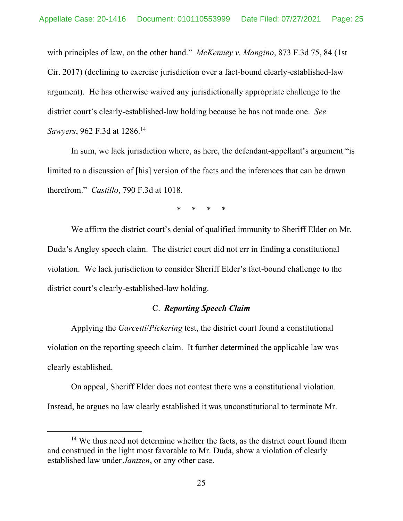with principles of law, on the other hand." *McKenney v. Mangino*, 873 F.3d 75, 84 (1st Cir. 2017) (declining to exercise jurisdiction over a fact-bound clearly-established-law argument). He has otherwise waived any jurisdictionally appropriate challenge to the district court's clearly-established-law holding because he has not made one. *See Sawyers*, 962 F.3d at 1286.14

In sum, we lack jurisdiction where, as here, the defendant-appellant's argument "is limited to a discussion of [his] version of the facts and the inferences that can be drawn therefrom." *Castillo*, 790 F.3d at 1018.

\* \* \* \*

We affirm the district court's denial of qualified immunity to Sheriff Elder on Mr. Duda's Angley speech claim. The district court did not err in finding a constitutional violation. We lack jurisdiction to consider Sheriff Elder's fact-bound challenge to the district court's clearly-established-law holding.

# C. *Reporting Speech Claim*

Applying the *Garcetti*/*Pickering* test, the district court found a constitutional violation on the reporting speech claim. It further determined the applicable law was clearly established.

On appeal, Sheriff Elder does not contest there was a constitutional violation. Instead, he argues no law clearly established it was unconstitutional to terminate Mr.

<sup>&</sup>lt;sup>14</sup> We thus need not determine whether the facts, as the district court found them and construed in the light most favorable to Mr. Duda, show a violation of clearly established law under *Jantzen*, or any other case.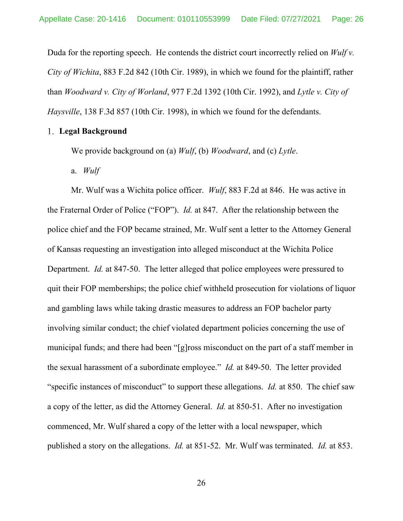Duda for the reporting speech. He contends the district court incorrectly relied on *Wulf v. City of Wichita*, 883 F.2d 842 (10th Cir. 1989), in which we found for the plaintiff, rather than *Woodward v. City of Worland*, 977 F.2d 1392 (10th Cir. 1992), and *Lytle v. City of Haysville*, 138 F.3d 857 (10th Cir. 1998), in which we found for the defendants.

## **Legal Background**

We provide background on (a) *Wulf*, (b) *Woodward*, and (c) *Lytle*.

a. *Wulf* 

Mr. Wulf was a Wichita police officer. *Wulf*, 883 F.2d at 846. He was active in the Fraternal Order of Police ("FOP"). *Id.* at 847. After the relationship between the police chief and the FOP became strained, Mr. Wulf sent a letter to the Attorney General of Kansas requesting an investigation into alleged misconduct at the Wichita Police Department. *Id.* at 847-50. The letter alleged that police employees were pressured to quit their FOP memberships; the police chief withheld prosecution for violations of liquor and gambling laws while taking drastic measures to address an FOP bachelor party involving similar conduct; the chief violated department policies concerning the use of municipal funds; and there had been "[g]ross misconduct on the part of a staff member in the sexual harassment of a subordinate employee." *Id.* at 849-50. The letter provided "specific instances of misconduct" to support these allegations. *Id.* at 850. The chief saw a copy of the letter, as did the Attorney General. *Id.* at 850-51. After no investigation commenced, Mr. Wulf shared a copy of the letter with a local newspaper, which published a story on the allegations. *Id.* at 851-52. Mr. Wulf was terminated. *Id.* at 853.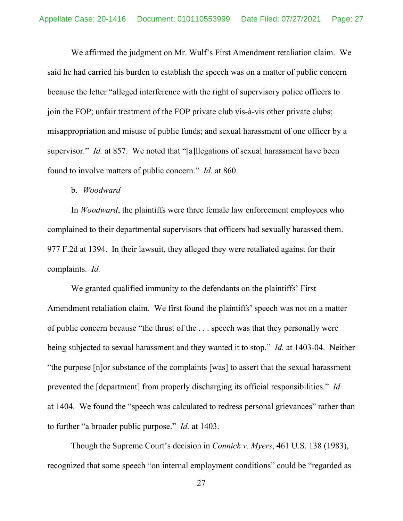We affirmed the judgment on Mr. Wulf's First Amendment retaliation claim. We said he had carried his burden to establish the speech was on a matter of public concern because the letter "alleged interference with the right of supervisory police officers to join the FOP; unfair treatment of the FOP private club vis-à-vis other private clubs; misappropriation and misuse of public funds; and sexual harassment of one officer by a supervisor." *Id.* at 857. We noted that "[a]llegations of sexual harassment have been found to involve matters of public concern." *Id.* at 860.

#### b. *Woodward*

In *Woodward*, the plaintiffs were three female law enforcement employees who complained to their departmental supervisors that officers had sexually harassed them. 977 F.2d at 1394. In their lawsuit, they alleged they were retaliated against for their complaints. *Id.* 

We granted qualified immunity to the defendants on the plaintiffs' First Amendment retaliation claim. We first found the plaintiffs' speech was not on a matter of public concern because "the thrust of the . . . speech was that they personally were being subjected to sexual harassment and they wanted it to stop." *Id.* at 1403-04. Neither "the purpose [n]or substance of the complaints [was] to assert that the sexual harassment prevented the [department] from properly discharging its official responsibilities." *Id.* at 1404. We found the "speech was calculated to redress personal grievances" rather than to further "a broader public purpose." *Id.* at 1403.

Though the Supreme Court's decision in *Connick v. Myers*, 461 U.S. 138 (1983), recognized that some speech "on internal employment conditions" could be "regarded as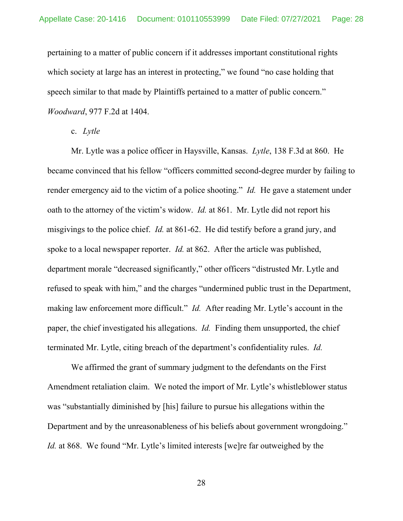pertaining to a matter of public concern if it addresses important constitutional rights which society at large has an interest in protecting," we found "no case holding that speech similar to that made by Plaintiffs pertained to a matter of public concern." *Woodward*, 977 F.2d at 1404.

c. *Lytle*

Mr. Lytle was a police officer in Haysville, Kansas. *Lytle*, 138 F.3d at 860. He became convinced that his fellow "officers committed second-degree murder by failing to render emergency aid to the victim of a police shooting." *Id.* He gave a statement under oath to the attorney of the victim's widow. *Id.* at 861. Mr. Lytle did not report his misgivings to the police chief. *Id.* at 861-62. He did testify before a grand jury, and spoke to a local newspaper reporter. *Id.* at 862. After the article was published, department morale "decreased significantly," other officers "distrusted Mr. Lytle and refused to speak with him," and the charges "undermined public trust in the Department, making law enforcement more difficult." *Id.* After reading Mr. Lytle's account in the paper, the chief investigated his allegations. *Id.* Finding them unsupported, the chief terminated Mr. Lytle, citing breach of the department's confidentiality rules. *Id.*

We affirmed the grant of summary judgment to the defendants on the First Amendment retaliation claim. We noted the import of Mr. Lytle's whistleblower status was "substantially diminished by [his] failure to pursue his allegations within the Department and by the unreasonableness of his beliefs about government wrongdoing." *Id.* at 868. We found "Mr. Lytle's limited interests [we]re far outweighed by the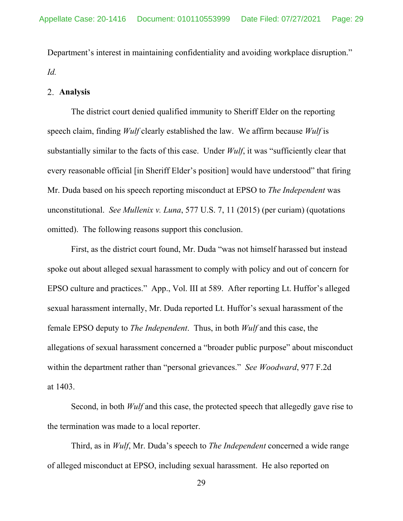Department's interest in maintaining confidentiality and avoiding workplace disruption." *Id.*

## **Analysis**

The district court denied qualified immunity to Sheriff Elder on the reporting speech claim, finding *Wulf* clearly established the law. We affirm because *Wulf* is substantially similar to the facts of this case. Under *Wulf*, it was "sufficiently clear that every reasonable official [in Sheriff Elder's position] would have understood" that firing Mr. Duda based on his speech reporting misconduct at EPSO to *The Independent* was unconstitutional. *See Mullenix v. Luna*, 577 U.S. 7, 11 (2015) (per curiam) (quotations omitted). The following reasons support this conclusion.

First, as the district court found, Mr. Duda "was not himself harassed but instead spoke out about alleged sexual harassment to comply with policy and out of concern for EPSO culture and practices." App., Vol. III at 589. After reporting Lt. Huffor's alleged sexual harassment internally, Mr. Duda reported Lt. Huffor's sexual harassment of the female EPSO deputy to *The Independent*. Thus, in both *Wulf* and this case, the allegations of sexual harassment concerned a "broader public purpose" about misconduct within the department rather than "personal grievances." *See Woodward*, 977 F.2d at 1403.

Second, in both *Wulf* and this case, the protected speech that allegedly gave rise to the termination was made to a local reporter.

Third, as in *Wulf*, Mr. Duda's speech to *The Independent* concerned a wide range of alleged misconduct at EPSO, including sexual harassment. He also reported on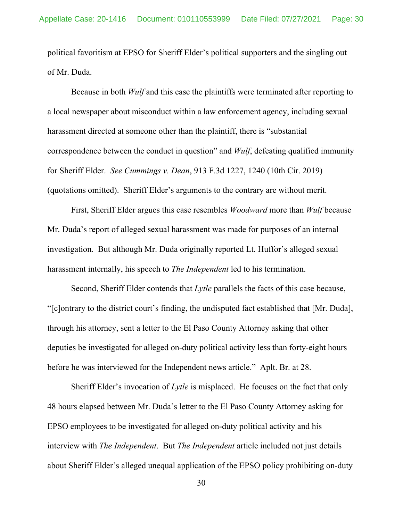political favoritism at EPSO for Sheriff Elder's political supporters and the singling out of Mr. Duda.

Because in both *Wulf* and this case the plaintiffs were terminated after reporting to a local newspaper about misconduct within a law enforcement agency, including sexual harassment directed at someone other than the plaintiff, there is "substantial correspondence between the conduct in question" and *Wulf*, defeating qualified immunity for Sheriff Elder. *See Cummings v. Dean*, 913 F.3d 1227, 1240 (10th Cir. 2019) (quotations omitted). Sheriff Elder's arguments to the contrary are without merit.

First, Sheriff Elder argues this case resembles *Woodward* more than *Wulf* because Mr. Duda's report of alleged sexual harassment was made for purposes of an internal investigation. But although Mr. Duda originally reported Lt. Huffor's alleged sexual harassment internally, his speech to *The Independent* led to his termination.

Second, Sheriff Elder contends that *Lytle* parallels the facts of this case because, "[c]ontrary to the district court's finding, the undisputed fact established that [Mr. Duda], through his attorney, sent a letter to the El Paso County Attorney asking that other deputies be investigated for alleged on-duty political activity less than forty-eight hours before he was interviewed for the Independent news article." Aplt. Br. at 28.

Sheriff Elder's invocation of *Lytle* is misplaced. He focuses on the fact that only 48 hours elapsed between Mr. Duda's letter to the El Paso County Attorney asking for EPSO employees to be investigated for alleged on-duty political activity and his interview with *The Independent*. But *The Independent* article included not just details about Sheriff Elder's alleged unequal application of the EPSO policy prohibiting on-duty